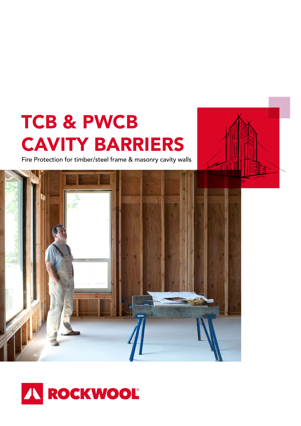# TCB & PWCB CAVITY BARRIERS

Fire Protection for timber/steel frame & masonry cavity walls



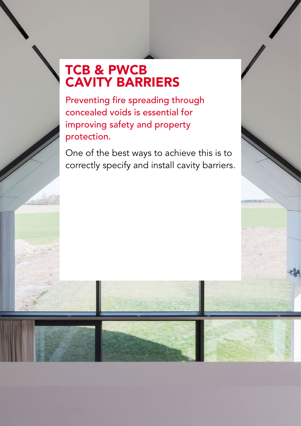# TCB & PWCB CAVITY BARRIERS

Preventing fire spreading through concealed voids is essential for improving safety and property protection.

One of the best ways to achieve this is to correctly specify and install cavity barriers.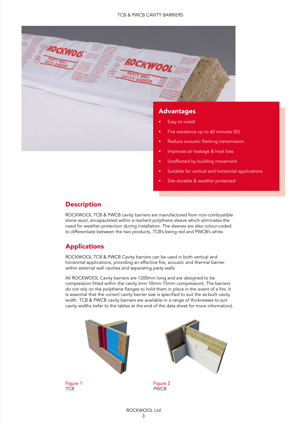

- Fire resistance up to 60 minutes (EI)
- Reduce acoustic flanking transmission
- Improves air leakage & heat loss
- Unaffected by building movement
- Suitable for vertical and horizontal applications
- Site durable & weather protected

# **Description**

ROCKWOOL TCB & PWCB cavity barriers are manufactured from non-combustible stone wool, encapsulated within a resilient polythene sleeve which eliminates the need for weather protection during installation. The sleeves are also colour-coded to differentiate between the two products, TCB's being red and PWCB's white.

# Applications

ROCKWOOL TCB & PWCB Cavity barriers can be used in both vertical and horizontal applications, providing an effective fire, acoustic and thermal barrier within external wall cavities and separating party walls.

All ROCKWOOL Cavity barriers are 1200mm long and are designed to be compression fitted within the cavity (min 10mm-15mm compression). The barriers do not rely on the polythene flanges to hold them in place in the event of a fire. It is essential that the correct cavity barrier size is specified to suit the as-built cavity width. TCB & PWCB cavity barriers are available in a range of thicknesses to suit cavity widths (refer to the tables at the end of the data sheet for more information).

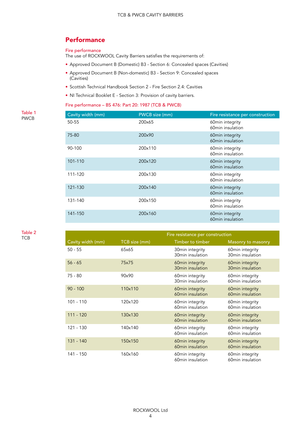# **Performance**

#### Fire performance

The use of ROCKWOOL Cavity Barriers satisfies the requirements of:

- Approved Document B (Domestic) B3 Section 6: Concealed spaces (Cavities)
- Approved Document B (Non-domestic) B3 Section 9: Concealed spaces (Cavities)
- Scottish Technical Handbook Section 2 Fire Section 2.4: Cavities
- NI Technical Booklet E Section 3: Provision of cavity barriers.

#### Fire performance – BS 476: Part 20: 1987 (TCB & PWCB)

| Cavity width (mm) | PWCB size (mm) | Fire resistance per construction    |
|-------------------|----------------|-------------------------------------|
| 50-55             | 200x65         | 60min integrity<br>60min insulation |
| 75-80             | 200x90         | 60min integrity<br>60min insulation |
| 90-100            | 200x110        | 60min integrity<br>60min insulation |
| 101-110           | 200x120        | 60min integrity<br>60min insulation |
| 111-120           | 200x130        | 60min integrity<br>60min insulation |
| 121-130           | 200x140        | 60min integrity<br>60min insulation |
| 131-140           | 200x150        | 60min integrity<br>60min insulation |
| 141-150           | 200x160        | 60min integrity<br>60min insulation |

Table 2 **TCB** 

Table 1 PWCB

|                   | Fire resistance per construction |                                     |                                     |
|-------------------|----------------------------------|-------------------------------------|-------------------------------------|
| Cavity width (mm) | TCB size (mm)                    | Timber to timber                    | Masonry to masonry                  |
| $50 - 55$         | 65x65                            | 30min integrity<br>30min insulation | 60min integrity<br>30min insulation |
| $56 - 65$         | 75x75                            | 60min integrity<br>30min insulation | 60min integrity<br>30min insulation |
| 75 - 80           | 90x90                            | 60min integrity<br>30min insulation | 60min integrity<br>60min insulation |
| $90 - 100$        | 110x110                          | 60min integrity<br>60min insulation | 60min integrity<br>60min insulation |
| $101 - 110$       | 120x120                          | 60min integrity<br>60min insulation | 60min integrity<br>60min insulation |
| 111 - 120         | 130x130                          | 60min integrity<br>60min insulation | 60min integrity<br>60min insulation |
| 121 - 130         | 140x140                          | 60min integrity<br>60min insulation | 60min integrity<br>60min insulation |
| 131 - 140         | 150x150                          | 60min integrity<br>60min insulation | 60min integrity<br>60min insulation |
| 141 - 150         | 160x160                          | 60min integrity<br>60min insulation | 60min integrity<br>60min insulation |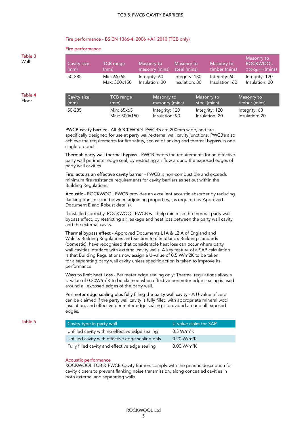#### Fire performance - BS EN 1366-4: 2006 +A1 2010 (TCB only)

Fire performance

#### Table 3 Wall Table 4 Floor Cavity size (mm) TCB range (mm) Masonry to masonry (mins) Masonry to steel (mins) Masonry to timber (mins) Masonry to **ROCKWOOL** (100Kg/m<sup>3</sup>) (mins) 50-285 Min: 65x65 Max: 300x150 Integrity: 60 Insulation: 30 Integrity: 180 Insulation: 30 Integrity: 60 Insulation: 60 Integrity: 120 Insulation: 20 Cavity size (mm) TCB range (mm) Masonry to masonry (mins) Masonry to steel (mins) Masonry to timber (mins) 50-285 Min: 65x65 Max: 300x150 Integrity: 120 Insulation: 90 Integrity: 120 Insulation: 20 Integrity: 60 Insulation: 20

PWCB cavity barrier - All ROCKWOOL PWCB's are 200mm wide, and are specifically designed for use at party wall/external wall cavity junctions. PWCB's also achieve the requirements for fire safety, acoustic flanking and thermal bypass in one single product.

Thermal: party wall thermal bypass - PWCB meets the requirements for an effective party wall perimeter edge seal, by restricting air flow around the exposed edges of party wall cavities.

Fire: acts as an effective cavity barrier - PWCB is non-combustible and exceeds minimum fire resistance requirements for cavity barriers as set out within the Building Regulations.

Acoustic - ROCKWOOL PWCB provides an excellent acoustic absorber by reducing flanking transmission between adjoining properties, (as required by Approved Document E and Robust details).

If installed correctly, ROCKWOOL PWCB will help minimise the thermal party wall bypass effect, by restricting air leakage and heat loss between the party wall cavity and the external cavity.

Thermal bypass effect - Approved Documents L1A & L2 A of England and Wales's Building Regulations and Section 6 of Scotland's Building standards (domestic), have recognised that considerable heat loss can occur where party wall cavities interface with external cavity walls. A key feature of a SAP calculation is that Building Regulations now assign a U-value of 0.5 W/m2K to be taken for a separating party wall cavity unless specific action is taken to improve its performance.

Ways to limit heat Loss - Perimeter edge sealing only: Thermal regulations allow a U-value of 0.20W/m<sup>2</sup>K to be claimed when effective perimeter edge sealing is used around all exposed edges of the party wall.

Perimeter edge sealing plus fully filling the party wall cavity - A U-value of zero can be claimed if the party wall cavity is fully filled with appropriate mineral wool insulation, and effective perimeter edge sealing is provided around all exposed edges.

#### Table 5

| Cavity type in party wall                        | U-value claim for SAP   |
|--------------------------------------------------|-------------------------|
| Unfilled cavity with no effective edge sealing   | $0.5 W/m^2K$            |
| Unfilled cavity with effective edge sealing only | 0.20 W/m <sup>2</sup> K |
| Fully filled cavity and effective edge sealing   | 0.00 W/m <sup>2</sup> K |

#### Acoustic performance

ROCKWOOL TCB & PWCB Cavity Barriers comply with the generic description for cavity closers to prevent flanking noise transmission, along concealed cavities in both external and separating walls.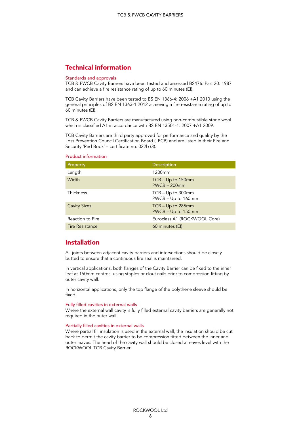# Technical information

#### Standards and approvals

TCB & PWCB Cavity Barriers have been tested and assessed BS476: Part 20: 1987 and can achieve a fire resistance rating of up to 60 minutes (EI).

TCB Cavity Barriers have been tested to BS EN 1366-4: 2006 +A1 2010 using the general principles of BS EN 1363-1:2012 achieving a fire resistance rating of up to 60 minutes (EI).

TCB & PWCB Cavity Barriers are manufactured using non-combustible stone wool which is classified A1 in accordance with BS EN 13501-1: 2007 +A1 2009.

TCB Cavity Barriers are third party approved for performance and quality by the Loss Prevention Council Certification Board (LPCB) and are listed in their Fire and Security 'Red Book' – certificate no: 022b (3).

#### Product information

| Property               | Description                               |
|------------------------|-------------------------------------------|
| Length                 | 1200 <sub>mm</sub>                        |
| Width                  | TCB - Up to 150mm<br>$PWCB - 200mm$       |
| Thickness              | $TCB - Up to 300mm$<br>PWCB - Up to 160mm |
| <b>Cavity Sizes</b>    | TCB - Up to 285mm<br>PWCB - Up to 150mm   |
| Reaction to Fire       | Euroclass A1 (ROCKWOOL Core)              |
| <b>Fire Resistance</b> | 60 minutes (EI)                           |

# Installation

All joints between adjacent cavity barriers and intersections should be closely butted to ensure that a continuous fire seal is maintained.

In vertical applications, both flanges of the Cavity Barrier can be fixed to the inner leaf at 150mm centres, using staples or clout nails prior to compression fitting by outer cavity wall.

In horizontal applications, only the top flange of the polythene sleeve should be fixed.

#### Fully filled cavities in external walls

Where the external wall cavity is fully filled external cavity barriers are generally not required in the outer wall.

#### Partially filled cavities in external walls

Where partial fill insulation is used in the external wall, the insulation should be cut back to permit the cavity barrier to be compression fitted between the inner and outer leaves. The head of the cavity wall should be closed at eaves level with the ROCKWOOL TCB Cavity Barrier.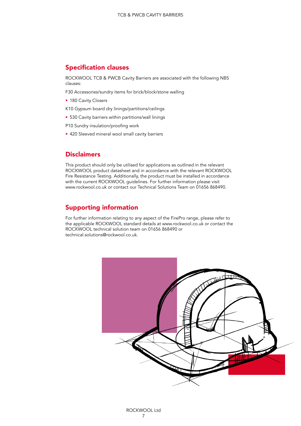# Specification clauses

ROCKWOOL TCB & PWCB Cavity Barriers are associated with the following NBS clauses:

F30 Accessories/sundry items for brick/block/stone walling

• 180 Cavity Closers

K10 Gypsum board dry linings/partitions/ceilings

• 530 Cavity barriers within partitions/wall linings

P10 Sundry insulation/proofing work

• 420 Sleeved mineral wool small cavity barriers

# **Disclaimers**

This product should only be utilised for applications as outlined in the relevant ROCKWOOL product datasheet and in accordance with the relevant ROCKWOOL Fire Resistance Testing. Additionally, the product must be installed in accordance with the current ROCKWOOL guidelines. For further information please visit www.rockwool.co.uk or contact our Technical Solutions Team on 01656 868490.

# Supporting information

For further information relating to any aspect of the FirePro range, please refer to the applicable ROCKWOOL standard details at www.rockwool.co.uk or contact the ROCKWOOL technical solution team on 01656 868490 or technical.solutions@rockwool.co.uk.

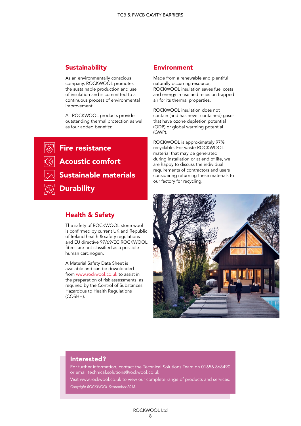# **Sustainability**

As an environmentally conscious company, ROCKWOOL promotes the sustainable production and use of insulation and is committed to a continuous process of environmental improvement.

All ROCKWOOL products provide outstanding thermal protection as well as four added benefits:

**Fire resistance** Acoustic comfort Sustainable materials **Durability** 

# Health & Safety

The safety of ROCKWOOL stone wool is confirmed by current UK and Republic of Ireland health & safety regulations and EU directive 97/69/EC:ROCKWOOL fibres are not classified as a possible human carcinogen.

A Material Safety Data Sheet is available and can be downloaded from www.rockwool.co.uk to assist in the preparation of risk assessments, as required by the Control of Substances Hazardous to Health Regulations (COSHH).

#### Environment

Made from a renewable and plentiful naturally occurring resource, ROCKWOOL insulation saves fuel costs and energy in use and relies on trapped air for its thermal properties.

ROCKWOOL insulation does not contain (and has never contained) gases that have ozone depletion potential (ODP) or global warming potential (GWP).

ROCKWOOL is approximately 97% recyclable. For waste ROCKWOOL material that may be generated during installation or at end of life, we are happy to discuss the individual requirements of contractors and users considering returning these materials to our factory for recycling.



#### Interested?

For further information, contact the Technical Solutions Team on 01656 868490 or email technical.solutions@rockwool.co.uk

Visit www.rockwool.co.uk to view our complete range of products and services. *Copyright ROCKWOOL September 2018.*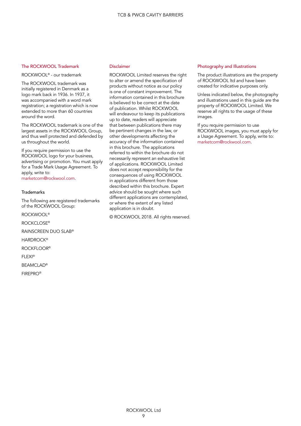#### The ROCKWOOL Trademark

ROCKWOOL® - our trademark

The ROCKWOOL trademark was initially registered in Denmark as a logo mark back in 1936. In 1937, it was accompanied with a word mark registration; a registration which is now extended to more than 60 countries around the word.

The ROCKWOOL trademark is one of the largest assets in the ROCKWOOL Group, and thus well protected and defended by us throughout the world.

If you require permission to use the ROCKWOOL logo for your business, advertising or promotion. You must apply for a Trade Mark Usage Agreement. To apply, write to:

marketcom@rockwool.com.

#### **Trademarks**

The following are registered trademarks of the ROCKWOOL Group:

ROCKWOOL®

ROCKCLOSE®

RAINSCREEN DUO SLAB®

**HARDROCK®** 

ROCKFLOOR®

FLEXI®

BEAMCLAD®

FIREPRO®

#### Disclaimer

ROCKWOOL Limited reserves the right to alter or amend the specification of products without notice as our policy is one of constant improvement. The information contained in this brochure is believed to be correct at the date of publication. Whilst ROCKWOOL will endeavour to keep its publications up to date, readers will appreciate that between publications there may be pertinent changes in the law, or other developments affecting the accuracy of the information contained in this brochure. The applications referred to within the brochure do not necessarily represent an exhaustive list of applications. ROCKWOOL Limited does not accept responsibility for the consequences of using ROCKWOOL in applications different from those described within this brochure. Expert advice should be sought where such different applications are contemplated, or where the extent of any listed application is in doubt.

© ROCKWOOL 2018. All rights reserved.

#### Photography and Illustrations

The product illustrations are the property of ROCKWOOL ltd and have been created for indicative purposes only.

Unless indicated below, the photography and illustrations used in this guide are the property of ROCKWOOL Limited. We reserve all rights to the usage of these images.

If you require permission to use ROCKWOOL images, you must apply for a Usage Agreement. To apply, write to: marketcom@rockwool.com.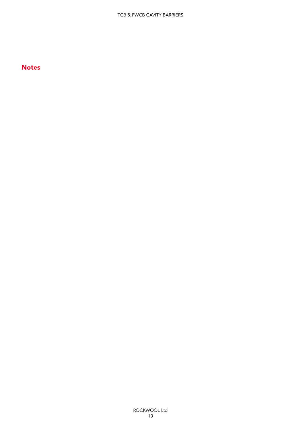# **Notes**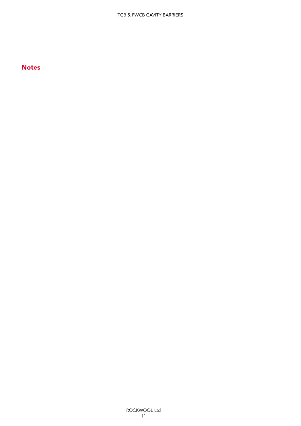# **Notes**